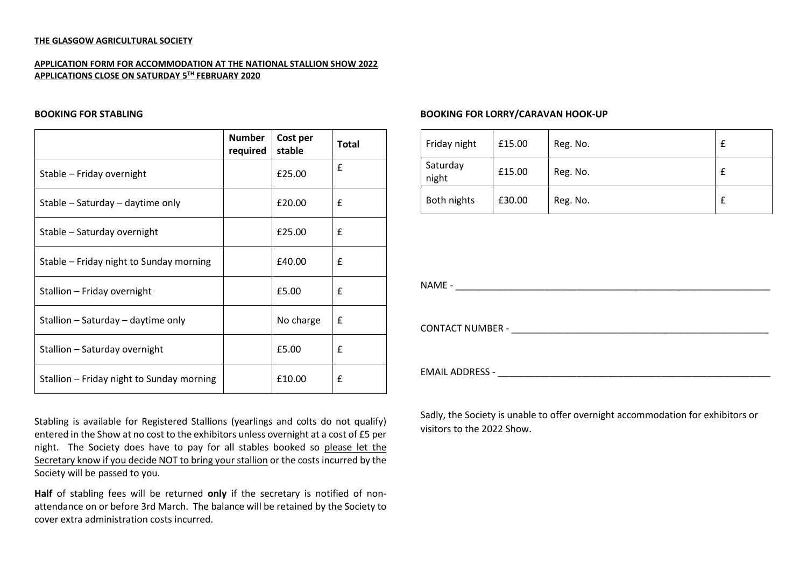### **THE GLASGOW AGRICULTURAL SOCIETY**

# **APPLICATION FORM FOR ACCOMMODATION AT THE NATIONAL STALLION SHOW 2022 APPLICATIONS CLOSE ON SATURDAY 5 TH FEBRUARY 2020**

#### **BOOKING FOR STABLING**

|                                           | <b>Number</b><br>required | Cost per<br>stable | <b>Total</b> |
|-------------------------------------------|---------------------------|--------------------|--------------|
| Stable - Friday overnight                 |                           | £25.00             | £            |
| Stable – Saturday – daytime only          |                           | £20.00             | £            |
| Stable - Saturday overnight               |                           | £25.00             | £            |
| Stable – Friday night to Sunday morning   |                           | £40.00             | £            |
| Stallion - Friday overnight               |                           | £5.00              | £            |
| Stallion - Saturday - daytime only        |                           | No charge          | £            |
| Stallion - Saturday overnight             |                           | £5.00              | £            |
| Stallion - Friday night to Sunday morning |                           | £10.00             | £            |

Stabling is available for Registered Stallions (yearlings and colts do not qualify) entered in the Show at no cost to the exhibitors unless overnight at a cost of £5 per night. The Society does have to pay for all stables booked so please let the Secretary know if you decide NOT to bring your stallion or the costs incurred by the Society will be passed to you.

**Half** of stabling fees will be returned **only** if the secretary is notified of nonattendance on or before 3rd March. The balance will be retained by the Society to cover extra administration costs incurred.

# **BOOKING FOR LORRY/CARAVAN HOOK-UP**

| Friday night      | £15.00 | Reg. No. |  |
|-------------------|--------|----------|--|
| Saturday<br>night | £15.00 | Reg. No. |  |
| Both nights       | £30.00 | Reg. No. |  |

 $NAME -$ 

CONTACT NUMBER - \_\_\_\_\_\_\_\_\_\_\_\_\_\_\_\_\_\_\_\_\_\_\_\_\_\_\_\_\_\_\_\_\_\_\_\_\_\_\_\_\_\_\_\_\_\_\_\_\_

EMAIL ADDRESS - **EMAIL ADDRESS** -

Sadly, the Society is unable to offer overnight accommodation for exhibitors or visitors to the 2022 Show.